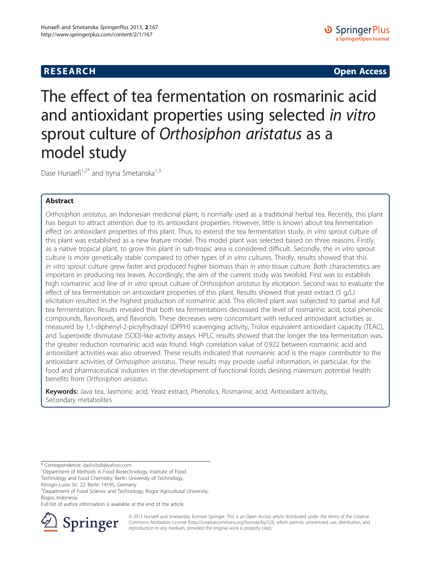# **RESEARCH CHINESE ARCH CHINESE ARCH CHINESE ARCH**

The effect of tea fermentation on rosmarinic acid and antioxidant properties using selected in vitro sprout culture of Orthosiphon aristatus as a model study

Dase Hunaefi<sup>1,2\*</sup> and Iryna Smetanska<sup>1,3</sup>

# Abstract

Orthosiphon aristatus, an Indonesian medicinal plant, is normally used as a traditional herbal tea. Recently, this plant has begun to attract attention due to its antioxidant properties. However, little is known about tea fermentation effect on antioxidant properties of this plant. Thus, to extend the tea fermentation study, in vitro sprout culture of this plant was established as a new feature model. This model plant was selected based on three reasons. Firstly, as a native tropical plant, to grow this plant in sub-tropic area is considered difficult. Secondly, the in vitro sprout culture is more genetically stable compared to other types of in vitro cultures. Thirdly, results showed that this in vitro sprout culture grew faster and produced higher biomass than in vitro tissue culture. Both characteristics are important in producing tea leaves. Accordingly, the aim of the current study was twofold. First was to establish high rosmarinic acid line of in vitro sprout culture of Orthosiphon aristatus by elicitation. Second was to evaluate the effect of tea fermentation on antioxidant properties of this plant. Results showed that yeast extract (5 g/L) elicitation resulted in the highest production of rosmarinic acid. This elicited plant was subjected to partial and full tea fermentation. Results revealed that both tea fermentations decreased the level of rosmarinic acid, total phenolic compounds, flavonoids, and flavonols. These decreases were concomitant with reduced antioxidant activities as measured by 1,1-diphenyl-2-picrylhydrazyl (DPPH) scavenging activity, Trolox equivalent antioxidant capacity (TEAC), and Superoxide dismutase (SOD)-like activity assays. HPLC results showed that the longer the tea fermentation was, the greater reduction rosmarinic acid was found. High correlation value of 0.922 between rosmarinic acid and antioxidant activities was also observed. These results indicated that rosmarinic acid is the major contributor to the antioxidant activities of Orthosiphon aristatus. These results may provide useful information, in particular, for the food and pharmaceutical industries in the development of functional foods desiring maximum potential health benefits from Orthosiphon aristatus.

Keywords: Java tea, Jasmonic acid, Yeast extract, Phenolics, Rosmarinic acid, Antioxidant activity, Secondary metabolites

\* Correspondence: [dashcbdk@yahoo.com](mailto:dashcbdk@yahoo.com) <sup>1</sup>

<sup>1</sup>Department of Methods in Food Biotechnology, Institute of Food

Technology and Food Chemistry, Berlin University of Technology,

Königin-Luise Str. 22, Berlin 14195, Germany

2 Department of Food Science and Technology, Bogor Agricultural University, Bogor, Indonesia

Full list of author information is available at the end of the article



© 2013 Hunaefi and Smetanska; licensee Springer. This is an Open Access article distributed under the terms of the Creative Commons Attribution License (<http://creativecommons.org/licenses/by/2.0>), which permits unrestricted use, distribution, and reproduction in any medium, provided the original work is properly cited.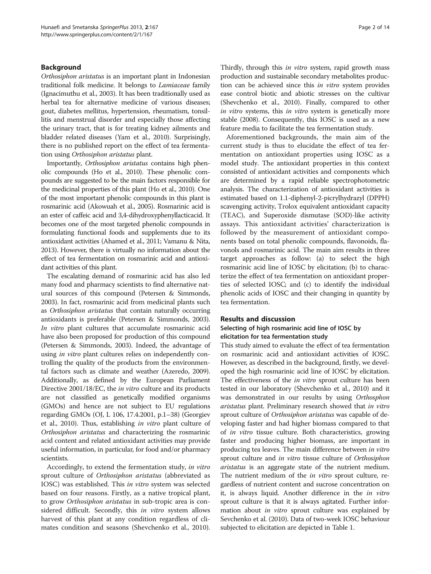### Background

Orthosiphon aristatus is an important plant in Indonesian traditional folk medicine. It belongs to Lamiaceae family (Ignacimuthu et al., [2003](#page-12-0)). It has been traditionally used as herbal tea for alternative medicine of various diseases; gout, diabetes mellitus, hypertension, rheumatism, tonsillitis and menstrual disorder and especially those affecting the urinary tract, that is for treating kidney ailments and bladder related diseases (Yam et al., [2010](#page-13-0)). Surprisingly, there is no published report on the effect of tea fermentation using Orthosiphon aristatus plant.

Importantly, Orthosiphon aristatus contains high phenolic compounds (Ho et al., [2010](#page-12-0)). These phenolic compounds are suggested to be the main factors responsible for the medicinal properties of this plant (Ho et al., [2010\)](#page-12-0). One of the most important phenolic compounds in this plant is rosmarinic acid (Akowuah et al., [2005\)](#page-12-0). Rosmarinic acid is an ester of caffeic acid and 3,4-dihydroxyphenyllacticacid. It becomes one of the most targeted phenolic compounds in formulating functional foods and supplements due to its antioxidant activities (Ahamed et al., [2011](#page-12-0); Vamanu & Nita, [2013\)](#page-13-0). However, there is virtually no information about the effect of tea fermentation on rosmarinic acid and antioxidant activities of this plant.

The escalating demand of rosmarinic acid has also led many food and pharmacy scientists to find alternative natural sources of this compound (Petersen & Simmonds, [2003\)](#page-12-0). In fact, rosmarinic acid from medicinal plants such as Orthosiphon aristatus that contain naturally occurring antioxidants is preferable (Petersen & Simmonds, [2003](#page-12-0)). In vitro plant cultures that accumulate rosmarinic acid have also been proposed for production of this compound (Petersen & Simmonds, [2003](#page-12-0)). Indeed, the advantage of using in vitro plant cultures relies on independently controlling the quality of the products from the environmental factors such as climate and weather (Azeredo, [2009](#page-12-0)). Additionally, as defined by the European Parliament Directive 2001/18/EC, the in vitro culture and its products are not classified as genetically modified organisms (GMOs) and hence are not subject to EU regulations regarding GMOs (OJ, L 106, 17.4.2001, p.1–38) (Georgiev et al., [2010\)](#page-12-0). Thus, establishing in vitro plant culture of Orthosiphon aristatus and characterizing the rosmarinic acid content and related antioxidant activities may provide useful information, in particular, for food and/or pharmacy scientists.

Accordingly, to extend the fermentation study, in vitro sprout culture of Orthosiphon aristatus (abbreviated as IOSC) was established. This in vitro system was selected based on four reasons. Firstly, as a native tropical plant, to grow Orthosiphon aristatus in sub-tropic area is considered difficult. Secondly, this in vitro system allows harvest of this plant at any condition regardless of climates condition and seasons (Shevchenko et al., [2010](#page-12-0)). Thirdly, through this in vitro system, rapid growth mass production and sustainable secondary metabolites production can be achieved since this in vitro system provides ease control biotic and abiotic stresses on the cultivar (Shevchenko et al., [2010](#page-12-0)). Finally, compared to other in vitro systems, this in vitro system is genetically more stable ([2008\)](#page-12-0). Consequently, this IOSC is used as a new feature media to facilitate the tea fermentation study.

Aforementioned backgrounds, the main aim of the current study is thus to elucidate the effect of tea fermentation on antioxidant properties using IOSC as a model study. The antioxidant properties in this context consisted of antioxidant activities and components which are determined by a rapid reliable spectrophotometric analysis. The characterization of antioxidant activities is estimated based on 1.1-diphenyl-2-picrylhydrazyl (DPPH) scavenging activity, Trolox equivalent antioxidant capacity (TEAC), and Superoxide dismutase (SOD)-like activity assays. This antioxidant activities' characterization is followed by the measurement of antioxidant components based on total phenolic compounds, flavonoids, flavonols and rosmarinic acid. The main aim results in three target approaches as follow: (a) to select the high rosmarinic acid line of IOSC by elicitation; (b) to characterize the effect of tea fermentation on antioxidant properties of selected IOSC; and (c) to identify the individual phenolic acids of IOSC and their changing in quantity by tea fermentation.

#### Results and discussion

### Selecting of high rosmarinic acid line of IOSC by elicitation for tea fermentation study

This study aimed to evaluate the effect of tea fermentation on rosmarinic acid and antioxidant activities of IOSC. However, as described in the background, firstly, we developed the high rosmarinic acid line of IOSC by elicitation. The effectiveness of the *in vitro* sprout culture has been tested in our laboratory (Shevchenko et al., [2010](#page-12-0)) and it was demonstrated in our results by using Orthosphon aristatus plant. Preliminary research showed that in vitro sprout culture of Orthosiphon aristatus was capable of developing faster and had higher biomass compared to that of in vitro tissue culture. Both characteristics, growing faster and producing higher biomass, are important in producing tea leaves. The main difference between in vitro sprout culture and *in vitro* tissue culture of Orthosiphon aristatus is an aggregate state of the nutrient medium. The nutrient medium of the *in vitro* sprout culture, regardless of nutrient content and sucrose concentration on it, is always liquid. Another difference in the in vitro sprout culture is that it is always agitated. Further information about *in vitro* sprout culture was explained by Sevchenko et al. ([2010\)](#page-12-0). Data of two-week IOSC behaviour subjected to elicitation are depicted in Table [1](#page-2-0).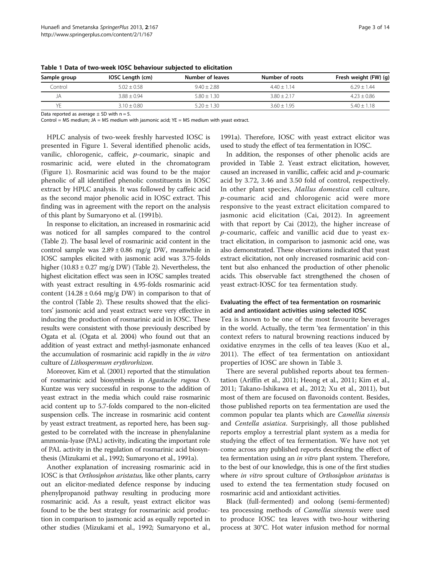| Sample group | IOSC Length (cm) | Number of leaves | Number of roots | Fresh weight (FW) (g) |
|--------------|------------------|------------------|-----------------|-----------------------|
| Control      | $5.02 + 0.58$    | $9.40 + 2.88$    | $4.40 + 1.14$   | $6.29 + 1.44$         |
| JA           | $3.88 + 0.94$    | $5.80 + 1.30$    | $3.80 + 2.17$   | $4.23 + 0.86$         |
|              | $3.10 \pm 0.80$  | $5.20 \pm 1.30$  | $3.60 \pm 1.95$ | $5.40 + 1.18$         |

<span id="page-2-0"></span>Table 1 Data of two-week IOSC behaviour subjected to elicitation

Data reported as average  $\pm$  SD with  $n = 5$ .

Control = MS medium;  $JA = MS$  medium with jasmonic acid;  $YE = MS$  medium with yeast extract.

HPLC analysis of two-week freshly harvested IOSC is presented in Figure [1](#page-3-0). Several identified phenolic acids, vanilic, chlorogenic, caffeic, p-coumaric, sinapic and rosmarinic acid, were eluted in the chromatogram (Figure [1\)](#page-3-0). Rosmarinic acid was found to be the major phenolic of all identified phenolic constituents in IOSC extract by HPLC analysis. It was followed by caffeic acid as the second major phenolic acid in IOSC extract. This finding was in agreement with the report on the analysis of this plant by Sumaryono et al. ([1991b](#page-13-0)).

In response to elicitation, an increased in rosmarinic acid was noticed for all samples compared to the control (Table [2\)](#page-4-0). The basal level of rosmarinic acid content in the control sample was  $2.89 \pm 0.86$  mg/g DW, meanwhile in IOSC samples elicited with jasmonic acid was 3.75-folds higher (10.83 ± 0.27 mg/g DW) (Table [2](#page-4-0)). Nevertheless, the highest elicitation effect was seen in IOSC samples treated with yeast extract resulting in 4.95-folds rosmarinic acid content  $(14.28 \pm 0.64 \text{ mg/g DW})$  in comparison to that of the control (Table [2\)](#page-4-0). These results showed that the elicitors' jasmonic acid and yeast extract were very effective in inducing the production of rosmarinic acid in IOSC. These results were consistent with those previously described by Ogata et al. (Ogata et al. [2004\)](#page-12-0) who found out that an addition of yeast extract and methyl-jasmonate enhanced the accumulation of rosmarinic acid rapidly in the in vitro culture of Lithospermum erythrorhizon.

Moreover, Kim et al. [\(2001](#page-12-0)) reported that the stimulation of rosmarinic acid biosynthesis in Agastache rugosa O. Kuntze was very successful in response to the addition of yeast extract in the media which could raise rosmarinic acid content up to 5.7-folds compared to the non-elicited suspension cells. The increase in rosmarinic acid content by yeast extract treatment, as reported here, has been suggested to be correlated with the increase in phenylalanine ammonia-lyase (PAL) activity, indicating the important role of PAL activity in the regulation of rosmarinic acid biosynthesis (Mizukami et al., [1992](#page-12-0); Sumaryono et al., [1991a\)](#page-12-0).

Another explanation of increasing rosmarinic acid in IOSC is that Orthosiphon aristatus, like other plants, carry out an elicitor-mediated defence response by inducing phenylpropanoid pathway resulting in producing more rosmarinic acid. As a result, yeast extract elicitor was found to be the best strategy for rosmarinic acid production in comparison to jasmonic acid as equally reported in other studies (Mizukami et al., [1992](#page-12-0); Sumaryono et al., [1991a](#page-12-0)). Therefore, IOSC with yeast extract elicitor was used to study the effect of tea fermentation in IOSC.

In addition, the responses of other phenolic acids are provided in Table [2](#page-4-0). Yeast extract elicitation, however, caused an increased in vanillic, caffeic acid and p-coumaric acid by 3.72, 3.46 and 3.50 fold of control, respectively. In other plant species, Mallus domestica cell culture, p-coumaric acid and chlorogenic acid were more responsive to the yeast extract elicitation compared to jasmonic acid elicitation (Cai, [2012](#page-12-0)). In agreement with that report by Cai ([2012\)](#page-12-0), the higher increase of p-coumaric, caffeic and vanillic acid due to yeast extract elicitation, in comparison to jasmonic acid one, was also demonstrated. These observations indicated that yeast extract elicitation, not only increased rosmarinic acid content but also enhanced the production of other phenolic acids. This observable fact strengthened the chosen of yeast extract-IOSC for tea fermentation study.

# Evaluating the effect of tea fermentation on rosmarinic acid and antioxidant activities using selected IOSC

Tea is known to be one of the most favourite beverages in the world. Actually, the term 'tea fermentation' in this context refers to natural browning reactions induced by oxidative enzymes in the cells of tea leaves (Kuo et al., [2011](#page-12-0)). The effect of tea fermentation on antioxidant properties of IOSC are shown in Table [3](#page-4-0).

There are several published reports about tea fermentation (Ariffin et al., [2011;](#page-12-0) Heong et al., [2011;](#page-12-0) Kim et al., [2011](#page-12-0); Takano-Ishikawa et al., [2012;](#page-13-0) Xu et al., [2011\)](#page-13-0), but most of them are focused on flavonoids content. Besides, those published reports on tea fermentation are used the common popular tea plants which are Camellia sinensis and Centella asiatica. Surprisingly, all those published reports employ a terrestrial plant system as a media for studying the effect of tea fermentation. We have not yet come across any published reports describing the effect of tea fermentation using an *in vitro* plant system. Therefore, to the best of our knowledge, this is one of the first studies where *in vitro* sprout culture of Orthosiphon aristatus is used to extend the tea fermentation study focused on rosmarinic acid and antioxidant activities.

Black (full-fermented) and oolong (semi-fermented) tea processing methods of Camellia sinensis were used to produce IOSC tea leaves with two-hour withering process at 30°C. Hot water infusion method for normal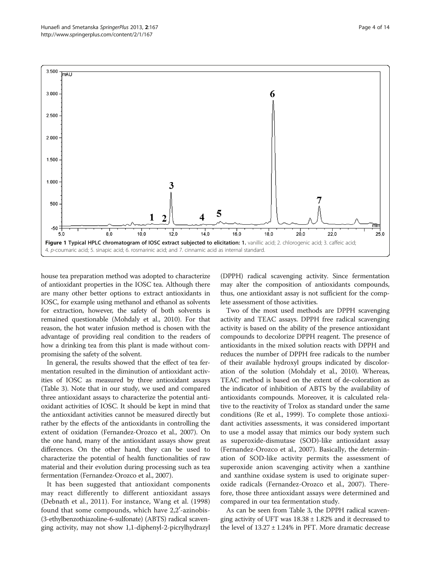<span id="page-3-0"></span>

house tea preparation method was adopted to characterize of antioxidant properties in the IOSC tea. Although there are many other better options to extract antioxidants in IOSC, for example using methanol and ethanol as solvents for extraction, however, the safety of both solvents is remained questionable (Mohdaly et al., [2010\)](#page-12-0). For that reason, the hot water infusion method is chosen with the advantage of providing real condition to the readers of how a drinking tea from this plant is made without compromising the safety of the solvent.

In general, the results showed that the effect of tea fermentation resulted in the diminution of antioxidant activities of IOSC as measured by three antioxidant assays (Table [3\)](#page-4-0). Note that in our study, we used and compared three antioxidant assays to characterize the potential antioxidant activities of IOSC. It should be kept in mind that the antioxidant activities cannot be measured directly but rather by the effects of the antioxidants in controlling the extent of oxidation (Fernandez-Orozco et al., [2007](#page-12-0)). On the one hand, many of the antioxidant assays show great differences. On the other hand, they can be used to characterize the potential of health functionalities of raw material and their evolution during processing such as tea fermentation (Fernandez-Orozco et al., [2007\)](#page-12-0).

It has been suggested that antioxidant components may react differently to different antioxidant assays (Debnath et al., [2011](#page-12-0)). For instance, Wang et al. [\(1998](#page-13-0)) found that some compounds, which have 2,2 $^{\prime}$ -azinobis-(3-ethylbenzothiazoline-6-sulfonate) (ABTS) radical scavenging activity, may not show 1,1-diphenyl-2-picrylhydrazyl

(DPPH) radical scavenging activity. Since fermentation may alter the composition of antioxidants compounds, thus, one antioxidant assay is not sufficient for the complete assessment of those activities.

Two of the most used methods are DPPH scavenging activity and TEAC assays. DPPH free radical scavenging activity is based on the ability of the presence antioxidant compounds to decolorize DPPH reagent. The presence of antioxidants in the mixed solution reacts with DPPH and reduces the number of DPPH free radicals to the number of their available hydroxyl groups indicated by discoloration of the solution (Mohdaly et al., [2010\)](#page-12-0). Whereas, TEAC method is based on the extent of de-coloration as the indicator of inhibition of ABTS by the availability of antioxidants compounds. Moreover, it is calculated relative to the reactivity of Trolox as standard under the same conditions (Re et al., [1999](#page-12-0)). To complete those antioxidant activities assessments, it was considered important to use a model assay that mimics our body system such as superoxide-dismutase (SOD)-like antioxidant assay (Fernandez-Orozco et al., [2007\)](#page-12-0). Basically, the determination of SOD-like activity permits the assessment of superoxide anion scavenging activity when a xanthine and xanthine oxidase system is used to originate superoxide radicals (Fernandez-Orozco et al., [2007](#page-12-0)). Therefore, those three antioxidant assays were determined and compared in our tea fermentation study.

As can be seen from Table [3](#page-4-0), the DPPH radical scavenging activity of UFT was  $18.38 \pm 1.82\%$  and it decreased to the level of  $13.27 \pm 1.24\%$  in PFT. More dramatic decrease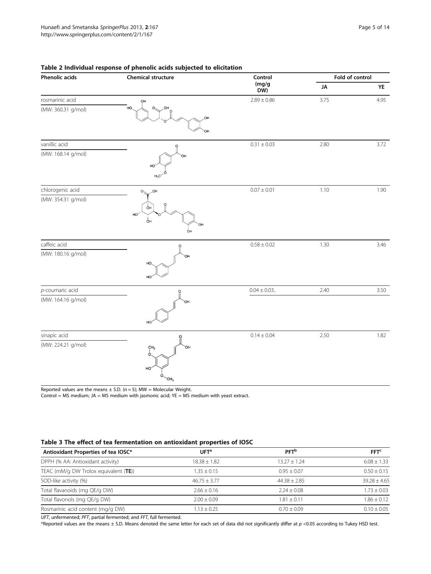| <b>Phenolic acids</b> | Chemical structure                             | Control         | Fold of control |      |
|-----------------------|------------------------------------------------|-----------------|-----------------|------|
|                       |                                                | (mg/g)<br>DW)   | JA              | YE   |
| rosmarinic acid       | OH                                             | $2.89 \pm 0.86$ | 3.75            | 4.95 |
| (MW: 360.31 g/mol)    | OH<br>ΟН                                       |                 |                 |      |
| vanillic acid         |                                                | $0.31 \pm 0.03$ | 2.80            | 3.72 |
| (MW: 168.14 g/mol)    | OН<br>HO <sup>'</sup><br>$H_3C$                |                 |                 |      |
| chlorogenic acid      | $O_{\geq}$<br><b>OH</b>                        | $0.07 \pm 0.01$ | 1.10            | 1.90 |
| (MW: 354.31 g/mol)    | ŌH<br>HO''<br>ŌН<br>DЬ<br>ÒН                   |                 |                 |      |
| caffeic acid          |                                                | $0.58 \pm 0.02$ | 1.30            | 3.46 |
| (MW: 180.16 g/mol)    | HO<br>HO                                       |                 |                 |      |
| $p$ -coumaric acid    |                                                | $0.04 \pm 0.03$ | 2.40            | 3.50 |
| (MW: 164.16 g/mol)    |                                                |                 |                 |      |
| sinapic acid          |                                                | $0.14 \pm 0.04$ | 2.50            | 1.82 |
| (MW: 224.21 g/mol)    | CH <sub>3</sub><br>OH<br>HO<br>CH <sub>3</sub> |                 |                 |      |

### <span id="page-4-0"></span>Table 2 Individual response of phenolic acids subjected to elicitation

Reported values are the means  $\pm$  S.D. (n = 5); MW = Molecular Weight. Control = MS medium;  $JA = MS$  medium with jasmonic acid;  $YE = MS$  medium with yeast extract.

### Table 3 The effect of tea fermentation on antioxidant properties of IOSC

| Antioxidant Properties of tea IOSC*   | UFT <sup>a</sup> | <b>PFT</b> <sup>b</sup> | FFT <sup>c</sup> |
|---------------------------------------|------------------|-------------------------|------------------|
| DPPH (% AA: Antioxidant activity)     | $18.38 + 1.82$   | $13.27 + 1.24$          | $6.08 + 1.33$    |
| TEAC (mM/g DW Trolox equivalent (TE)) | $1.35 + 0.15$    | $0.95 + 0.07$           | $0.50 \pm 0.15$  |
| SOD-like activity (%)                 | $46.75 + 3.77$   | $44.38 + 2.85$          | $39.28 + 4.65$   |
| Total flavanoids (mg QE/g DW)         | $2.66 + 0.16$    | $2.24 + 0.08$           | $1.73 + 0.03$    |
| Total flavonols (mg QE/g DW)          | $2.00 + 0.09$    | $1.81 + 0.11$           | $1.86 + 0.12$    |
| Rosmarinic acid content (mg/g DW)     | $1.13 \pm 0.25$  | $0.70 \pm 0.09$         | $0.10 \pm 0.05$  |

UFT, unfermented; PFT, partial fermented; and FFT, full fermented.

\*Reported values are the means  $\pm$  S.D. Means denoted the same letter for each set of data did not significantly differ at  $p$  <0.05 according to Tukey HSD test.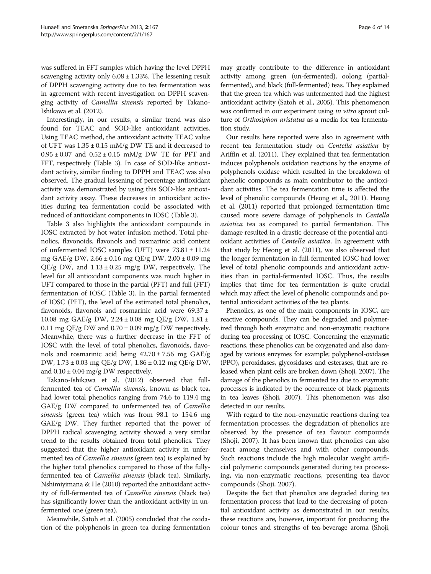was suffered in FFT samples which having the level DPPH scavenging activity only  $6.08 \pm 1.33\%$ . The lessening result of DPPH scavenging activity due to tea fermentation was in agreement with recent investigation on DPPH scavenging activity of Camellia sinensis reported by Takano-Ishikawa et al. ([2012\)](#page-13-0).

Interestingly, in our results, a similar trend was also found for TEAC and SOD-like antioxidant activities. Using TEAC method, the antioxidant activity TEAC value of UFT was  $1.35 \pm 0.15$  mM/g DW TE and it decreased to  $0.95 \pm 0.07$  and  $0.52 \pm 0.15$  mM/g DW TE for PFT and FFT, respectively (Table [3](#page-4-0)). In case of SOD-like antioxidant activity, similar finding to DPPH and TEAC was also observed. The gradual lessening of percentage antioxidant activity was demonstrated by using this SOD-like antioxidant activity assay. These decreases in antioxidant activities during tea fermentation could be associated with reduced of antioxidant components in IOSC (Table [3\)](#page-4-0).

Table [3](#page-4-0) also highlights the antioxidant compounds in IOSC extracted by hot water infusion method. Total phenolics, flavonoids, flavonols and rosmarinic acid content of unfermented IOSC samples (UFT) were 73.81 ± 11.24 mg GAE/g DW, 2.66 ± 0.16 mg QE/g DW, 2.00 ± 0.09 mg QE/g DW, and  $1.13 \pm 0.25$  mg/g DW, respectively. The level for all antioxidant components was much higher in UFT compared to those in the partial (PFT) and full (FFT) fermentation of IOSC (Table [3](#page-4-0)). In the partial fermented of IOSC (PFT), the level of the estimated total phenolics, flavonoids, flavonols and rosmarinic acid were 69.37 ± 10.08 mg GAE/g DW,  $2.24 \pm 0.08$  mg OE/g DW,  $1.81 \pm$ 0.11 mg QE/g DW and  $0.70 \pm 0.09$  mg/g DW respectively. Meanwhile, there was a further decrease in the FFT of IOSC with the level of total phenolics, flavonoids, flavonols and rosmarinic acid being  $42.70 \pm 7.56$  mg  $GAE/g$ DW, 1.73 ± 0.03 mg QE/g DW, 1.86 ± 0.12 mg QE/g DW, and  $0.10 \pm 0.04$  mg/g DW respectively.

Takano-Ishikawa et al. ([2012](#page-13-0)) observed that fullfermented tea of Camellia sinensis, known as black tea, had lower total phenolics ranging from 74.6 to 119.4 mg GAE/g DW compared to unfermented tea of Camellia sinensis (green tea) which was from 98.1 to 154.6 mg GAE/g DW. They further reported that the power of DPPH radical scavenging activity showed a very similar trend to the results obtained from total phenolics. They suggested that the higher antioxidant activity in unfermented tea of *Camellia sinensis* (green tea) is explained by the higher total phenolics compared to those of the fullyfermented tea of Camellia sinensis (black tea). Similarly, Nshimiyimana & He [\(2010](#page-12-0)) reported the antioxidant activity of full-fermented tea of Camellia sinensis (black tea) has significantly lower than the antioxidant activity in unfermented one (green tea).

Meanwhile, Satoh et al. [\(2005](#page-12-0)) concluded that the oxidation of the polyphenols in green tea during fermentation

may greatly contribute to the difference in antioxidant activity among green (un-fermented), oolong (partialfermented), and black (full-fermented) teas. They explained that the green tea which was unfermented had the highest antioxidant activity (Satoh et al., [2005\)](#page-12-0). This phenomenon was confirmed in our experiment using *in vitro* sprout culture of Orthosiphon aristatus as a media for tea fermentation study.

Our results here reported were also in agreement with recent tea fermentation study on Centella asiatica by Ariffin et al. [\(2011](#page-12-0)). They explained that tea fermentation induces polyphenols oxidation reactions by the enzyme of polyphenols oxidase which resulted in the breakdown of phenolic compounds as main contributor to the antioxidant activities. The tea fermentation time is affected the level of phenolic compounds (Heong et al., [2011](#page-12-0)). Heong et al. [\(2011](#page-12-0)) reported that prolonged fermentation time caused more severe damage of polyphenols in Centella asiatica tea as compared to partial fermentation. This damage resulted in a drastic decrease of the potential antioxidant activities of Centella asiatica. In agreement with that study by Heong et al. ([2011\)](#page-12-0), we also observed that the longer fermentation in full-fermented IOSC had lower level of total phenolic compounds and antioxidant activities than in partial-fermented IOSC. Thus, the results implies that time for tea fermentation is quite crucial which may affect the level of phenolic compounds and potential antioxidant activities of the tea plants.

Phenolics, as one of the main components in IOSC, are reactive compounds. They can be degraded and polymerized through both enzymatic and non-enzymatic reactions during tea processing of IOSC. Concerning the enzymatic reactions, these phenolics can be oxygenated and also damaged by various enzymes for example; polyphenol-oxidases (PPO), peroxidases, glycosidases and esterases, that are released when plant cells are broken down (Shoji, [2007\)](#page-12-0). The damage of the phenolics in fermented tea due to enzymatic processes is indicated by the occurrence of black pigments in tea leaves (Shoji, [2007](#page-12-0)). This phenomenon was also detected in our results.

With regard to the non-enzymatic reactions during tea fermentation processes, the degradation of phenolics are observed by the presence of tea flavour compounds (Shoji, [2007\)](#page-12-0). It has been known that phenolics can also react among themselves and with other compounds. Such reactions include the high molecular weight artificial polymeric compounds generated during tea processing, via non-enzymatic reactions, presenting tea flavor compounds (Shoji, [2007\)](#page-12-0).

Despite the fact that phenolics are degraded during tea fermentation process that lead to the decreasing of potential antioxidant activity as demonstrated in our results, these reactions are, however, important for producing the colour tones and strengths of tea-beverage aroma (Shoji,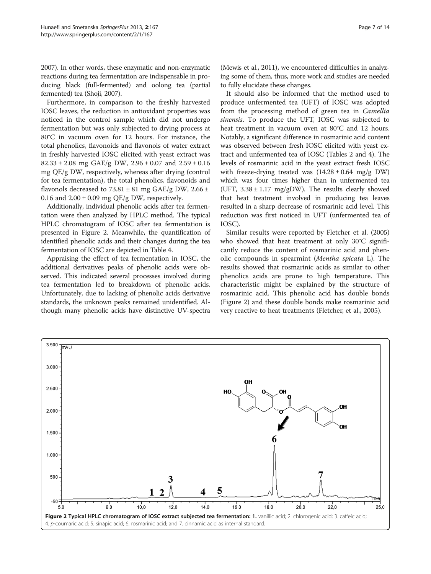[2007\)](#page-12-0). In other words, these enzymatic and non-enzymatic reactions during tea fermentation are indispensable in producing black (full-fermented) and oolong tea (partial fermented) tea (Shoji, [2007](#page-12-0)).

Furthermore, in comparison to the freshly harvested IOSC leaves, the reduction in antioxidant properties was noticed in the control sample which did not undergo fermentation but was only subjected to drying process at 80°C in vacuum oven for 12 hours. For instance, the total phenolics, flavonoids and flavonols of water extract in freshly harvested IOSC elicited with yeast extract was  $82.33 \pm 2.08$  mg GAE/g DW,  $2.96 \pm 0.07$  and  $2.59 \pm 0.16$ mg QE/g DW, respectively, whereas after drying (control for tea fermentation), the total phenolics, flavonoids and flavonols decreased to  $73.81 \pm 81$  mg GAE/g DW,  $2.66 \pm$ 0.16 and  $2.00 \pm 0.09$  mg QE/g DW, respectively.

Additionally, individual phenolic acids after tea fermentation were then analyzed by HPLC method. The typical HPLC chromatogram of IOSC after tea fermentation is presented in Figure 2. Meanwhile, the quantification of identified phenolic acids and their changes during the tea fermentation of IOSC are depicted in Table [4.](#page-7-0)

Appraising the effect of tea fermentation in IOSC, the additional derivatives peaks of phenolic acids were observed. This indicated several processes involved during tea fermentation led to breakdown of phenolic acids. Unfortunately, due to lacking of phenolic acids derivative standards, the unknown peaks remained unidentified. Although many phenolic acids have distinctive UV-spectra

It should also be informed that the method used to produce unfermented tea (UFT) of IOSC was adopted from the processing method of green tea in Camellia sinensis. To produce the UFT, IOSC was subjected to heat treatment in vacuum oven at 80°C and 12 hours. Notably, a significant difference in rosmarinic acid content was observed between fresh IOSC elicited with yeast extract and unfermented tea of IOSC (Tables [2](#page-4-0) and [4](#page-7-0)). The levels of rosmarinic acid in the yeast extract fresh IOSC with freeze-drying treated was  $(14.28 \pm 0.64 \text{ mg/g DW})$ which was four times higher than in unfermented tea (UFT,  $3.38 \pm 1.17$  mg/gDW). The results clearly showed that heat treatment involved in producing tea leaves resulted in a sharp decrease of rosmarinic acid level. This reduction was first noticed in UFT (unfermented tea of IOSC).

Similar results were reported by Fletcher et al. ([2005](#page-12-0)) who showed that heat treatment at only 30°C significantly reduce the content of rosmarinic acid and phenolic compounds in spearmint (Mentha spicata L). The results showed that rosmarinic acids as similar to other phenolics acids are prone to high temperature. This characteristic might be explained by the structure of rosmarinic acid. This phenolic acid has double bonds (Figure 2) and these double bonds make rosmarinic acid very reactive to heat treatments (Fletcher, et al., [2005](#page-12-0)).

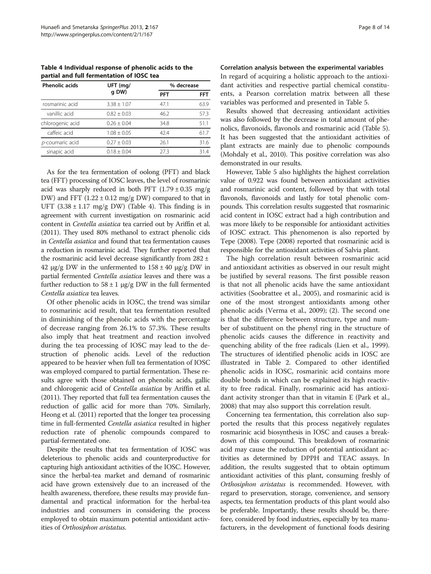<span id="page-7-0"></span>Table 4 Individual response of phenolic acids to the partial and full fermentation of IOSC tea

| <b>Phenolic acids</b> | UFT (mg/        | % decrease |      |
|-----------------------|-----------------|------------|------|
|                       | g DW)           | <b>PFT</b> |      |
| rosmarinic acid       | $3.38 \pm 1.07$ | 47.1       | 63.9 |
| vanillic acid         | $0.82 \pm 0.03$ | 46.2       | 57.3 |
| chlorogenic acid      | $0.26 \pm 0.04$ | 34.8       | 51.1 |
| caffeic acid          | $1.08 \pm 0.05$ | 42.4       | 61.7 |
| p-coumaric acid       | $0.27 \pm 0.03$ | 26.1       | 31.6 |
| sinapic acid          | $0.18 \pm 0.04$ | 27.3       | 31.4 |
|                       |                 |            |      |

As for the tea fermentation of oolong (PFT) and black tea (FFT) processing of IOSC leaves, the level of rosmarinic acid was sharply reduced in both PFT  $(1.79 \pm 0.35 \text{ mg/g})$ DW) and FFT  $(1.22 \pm 0.12 \text{ mg/g DW})$  compared to that in UFT  $(3.38 \pm 1.17 \text{ mg/g DW})$  (Table 4). This finding is in agreement with current investigation on rosmarinic acid content in Centella asiatica tea carried out by Ariffin et al. ([2011\)](#page-12-0). They used 80% methanol to extract phenolic cids in Centella asiatica and found that tea fermentation causes a reduction in rosmarinic acid. They further reported that the rosmarinic acid level decrease significantly from 282 ± 42 μg/g DW in the unfermented to  $158 \pm 40$  μg/g DW in partial fermented Centella asiatica leaves and there was a further reduction to  $58 \pm 1$  μg/g DW in the full fermented Centella asiatica tea leaves.

Of other phenolic acids in IOSC, the trend was similar to rosmarinic acid result, that tea fermentation resulted in diminishing of the phenolic acids with the percentage of decrease ranging from 26.1% to 57.3%. These results also imply that heat treatment and reaction involved during the tea processing of IOSC may lead to the destruction of phenolic acids. Level of the reduction appeared to be heavier when full tea fermentation of IOSC was employed compared to partial fermentation. These results agree with those obtained on phenolic acids, gallic and chlorogenic acid of Centella asiatica by Ariffin et al. ([2011\)](#page-12-0). They reported that full tea fermentation causes the reduction of gallic acid for more than 70%. Similarly, Heong et al. ([2011](#page-12-0)) reported that the longer tea processing time in full-fermented Centella asiatica resulted in higher reduction rate of phenolic compounds compared to partial-fermentated one.

Despite the results that tea fermentation of IOSC was deleterious to phenolic acids and counterproductive for capturing high antioxidant activities of the IOSC. However, since the herbal-tea market and demand of rosmarinic acid have grown extensively due to an increased of the health awareness, therefore, these results may provide fundamental and practical information for the herbal-tea industries and consumers in considering the process employed to obtain maximum potential antioxidant activities of Orthosiphon aristatus.

Correlation analysis between the experimental variables In regard of acquiring a holistic approach to the antioxidant activities and respective partial chemical constituents, a Pearson correlation matrix between all these variables was performed and presented in Table [5](#page-8-0).

Results showed that decreasing antioxidant activities was also followed by the decrease in total amount of phenolics, flavonoids, flavonols and rosmarinic acid (Table [5](#page-8-0)). It has been suggested that the antioxidant activities of plant extracts are mainly due to phenolic compounds (Mohdaly et al., [2010](#page-12-0)). This positive correlation was also demonstrated in our results.

However, Table [5](#page-8-0) also highlights the highest correlation value of 0.922 was found between antioxidant activities and rosmarinic acid content, followed by that with total flavonols, flavonoids and lastly for total phenolic compounds. This correlation results suggested that rosmarinic acid content in IOSC extract had a high contribution and was more likely to be responsible for antioxidant activities of IOSC extract. This phenomenon is also reported by Tepe [\(2008](#page-13-0)). Tepe [\(2008](#page-13-0)) reported that rosmarinic acid is responsible for the antioxidant activities of Salvia plant.

The high correlation result between rosmarinic acid and antioxidant activities as observed in our result might be justified by several reasons. The first possible reason is that not all phenolic acids have the same antioxidant activities (Soobrattee et al., [2005](#page-12-0)), and rosmarinic acid is one of the most strongest antioxidants among other phenolic acids (Verma et al., [2009\)](#page-13-0); (2). The second one is that the difference between structure, type and number of substituent on the phenyl ring in the structure of phenolic acids causes the difference in reactivity and quenching ability of the free radicals (Lien et al., [1999](#page-12-0)). The structures of identified phenolic acids in IOSC are illustrated in Table [2.](#page-4-0) Compared to other identified phenolic acids in IOSC, rosmarinic acid contains more double bonds in which can be explained its high reactivity to free radical. Finally, rosmarinic acid has antioxidant activity stronger than that in vitamin E (Park et al., [2008](#page-12-0)) that may also support this correlation result.

Concerning tea fermentation, this correlation also supported the results that this process negatively regulates rosmarinic acid biosynthesis in IOSC and causes a breakdown of this compound. This breakdown of rosmarinic acid may cause the reduction of potential antioxidant activities as determined by DPPH and TEAC assays. In addition, the results suggested that to obtain optimum antioxidant activities of this plant, consuming freshly of Orthosiphon aristatus is recommended. However, with regard to preservation, storage, convenience, and sensory aspects, tea fermentation products of this plant would also be preferable. Importantly, these results should be, therefore, considered by food industries, especially by tea manufacturers, in the development of functional foods desiring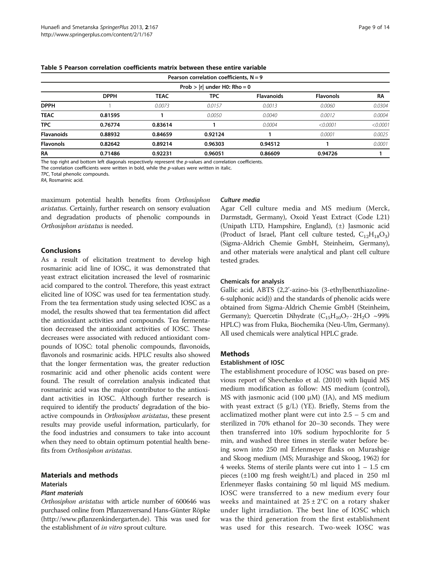| Table 5 Fearson correlation coemclents matrix between these entire variable |             |         |                   |                  |          |
|-----------------------------------------------------------------------------|-------------|---------|-------------------|------------------|----------|
| Pearson correlation coefficients, $N = 9$                                   |             |         |                   |                  |          |
| Prob > $ r $ under H0: Rho = 0                                              |             |         |                   |                  |          |
| <b>DPPH</b>                                                                 | <b>TEAC</b> | TPC     | <b>Flavanoids</b> | <b>Flavonols</b> | RA       |
|                                                                             | 0.0073      | 0.0157  | 0.0013            | 0.0060           | 0.0304   |
| 0.81595                                                                     |             | 0.0050  | 0.0040            | 0.0012           | 0.0004   |
| 0.76774                                                                     | 0.83614     |         | 0.0004            | < 0.0001         | < 0.0001 |
| 0.88932                                                                     | 0.84659     | 0.92124 |                   | 0.0001           | 0.0025   |
| 0.82642                                                                     | 0.89214     | 0.96303 | 0.94512           |                  | 0.0001   |
| 0.71486                                                                     | 0.92231     | 0.96051 | 0.86609           | 0.94726          |          |
|                                                                             |             |         |                   |                  |          |

### <span id="page-8-0"></span>correlation coefficients matrix between these entire variable

The top right and bottom left diagonals respectively represent the p-values and correlation coefficients.

The correlation coefficients were written in bold, while the  $p$ -values were written in italic.

TPC, Total phenolic compounds.

RA, Rosmarinic acid.

maximum potential health benefits from Orthosiphon aristatus. Certainly, further research on sensory evaluation and degradation products of phenolic compounds in Orthosiphon aristatus is needed.

#### Conclusions

As a result of elicitation treatment to develop high rosmarinic acid line of IOSC, it was demonstrated that yeast extract elicitation increased the level of rosmarinic acid compared to the control. Therefore, this yeast extract elicited line of IOSC was used for tea fermentation study. From the tea fermentation study using selected IOSC as a model, the results showed that tea fermentation did affect the antioxidant activities and compounds. Tea fermentation decreased the antioxidant activities of IOSC. These decreases were associated with reduced antioxidant compounds of IOSC: total phenolic compounds, flavonoids, flavonols and rosmarinic acids. HPLC results also showed that the longer fermentation was, the greater reduction rosmarinic acid and other phenolic acids content were found. The result of correlation analysis indicated that rosmarinic acid was the major contributor to the antioxidant activities in IOSC. Although further research is required to identify the products' degradation of the bioactive compounds in Orthosiphon aristatus, these present results may provide useful information, particularly, for the food industries and consumers to take into account when they need to obtain optimum potential health benefits from Orthosiphon aristatus.

### Materials and methods **Materials**

## Plant materials

Orthosiphon aristatus with article number of 600646 was purchased online from Pflanzenversand Hans-Günter Röpke ([http://www.pflanzenkindergarten.de\)](http://www.pflanzenkindergarten.de/). This was used for the establishment of in vitro sprout culture.

#### Culture media

Agar Cell culture media and MS medium (Merck, Darmstadt, Germany), Oxoid Yeast Extract (Code L21) (Unipath LTD, Hampshire, England), (±) Jasmonic acid (Product of Israel, Plant cell culture tested,  $C_{12}H_{18}O_3$ ) (Sigma-Aldrich Chemie GmbH, Steinheim, Germany), and other materials were analytical and plant cell culture tested grades.

#### Chemicals for analysis

Gallic acid, ABTS (2,2'-azino-bis (3-ethylbenzthiazoline-6-sulphonic acid)) and the standards of phenolic acids were obtained from Sigma-Aldrich Chemie GmbH (Steinheim, Germany); Quercetin Dihydrate  $(C_{15}H_{10}O_7 \cdot 2H_2O \sim 99\%$ HPLC) was from Fluka, Biochemika (Neu-Ulm, Germany). All used chemicals were analytical HPLC grade.

#### **Methods**

### Establishment of IOSC

The establishment procedure of IOSC was based on previous report of Shevchenko et al. ([2010](#page-12-0)) with liquid MS medium modification as follow: MS medium (control), MS with jasmonic acid (100 μM) (JA), and MS medium with yeast extract (5 g/L) (YE). Briefly, Stems from the acclimatized mother plant were cut into 2.5 – 5 cm and sterilized in 70% ethanol for 20–30 seconds. They were then transferred into 10% sodium hypochlorite for 5 min, and washed three times in sterile water before being sown into 250 ml Erlenmeyer flasks on Murashige and Skoog medium (MS; Murashige and Skoog, 1962) for 4 weeks. Stems of sterile plants were cut into 1 – 1.5 cm pieces (±100 mg fresh weight/L) and placed in 250 ml Erlenmeyer flasks containing 50 ml liquid MS medium. IOSC were transferred to a new medium every four weeks and maintained at  $25 \pm 2^{\circ}$ C on a rotary shaker under light irradiation. The best line of IOSC which was the third generation from the first establishment was used for this research. Two-week IOSC was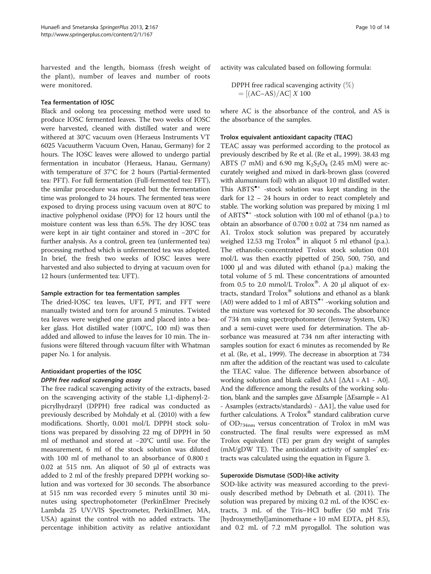harvested and the length, biomass (fresh weight of the plant), number of leaves and number of roots were monitored.

### Tea fermentation of IOSC

Black and oolong tea processing method were used to produce IOSC fermented leaves. The two weeks of IOSC were harvested, cleaned with distilled water and were withered at 30°C vacuum oven (Heraeus Instruments VT 6025 Vacuutherm Vacuum Oven, Hanau, Germany) for 2 hours. The IOSC leaves were allowed to undergo partial fermentation in incubator (Heraeus, Hanau, Germany) with temperature of 37°C for 2 hours (Partial-fermented tea: PFT). For full fermentation (Full-fermented tea: FFT), the similar procedure was repeated but the fermentation time was prolonged to 24 hours. The fermented teas were exposed to drying process using vacuum oven at 80°C to inactive polyphenol oxidase (PPO) for 12 hours until the moisture content was less than 6.5%. The dry IOSC teas were kept in air tight container and stored in −20°C for further analysis. As a control, green tea (unfermented tea) processing method which is unfermented tea was adopted. In brief, the fresh two weeks of IOSC leaves were harvested and also subjected to drying at vacuum oven for 12 hours (unfermented tea: UFT).

#### Sample extraction for tea fermentation samples

The dried-IOSC tea leaves, UFT, PFT, and FFT were manually twisted and torn for around 5 minutes. Twisted tea leaves were weighed one gram and placed into a beaker glass. Hot distilled water (100°C, 100 ml) was then added and allowed to infuse the leaves for 10 min. The infusions were filtered through vacuum filter with Whatman paper No. 1 for analysis.

# Antioxidant properties of the IOSC

### DPPH free radical scavenging assay

The free radical scavenging activity of the extracts, based on the scavenging activity of the stable 1,1-diphenyl-2 picrylhydrazyl (DPPH) free radical was conducted as previously described by Mohdaly et al. ([2010](#page-12-0)) with a few modifications. Shortly, 0.001 mol/L DPPH stock solutions was prepared by dissolving 22 mg of DPPH in 50 ml of methanol and stored at −20°C until use. For the measurement, 6 ml of the stock solution was diluted with 100 ml of methanol to an absorbance of  $0.800 \pm$ 0.02 at 515 nm. An aliquot of 50 μl of extracts was added to 2 ml of the freshly prepared DPPH working solution and was vortexed for 30 seconds. The absorbance at 515 nm was recorded every 5 minutes until 30 minutes using spectrophotometer (PerkinElmer Precisely Lambda 25 UV/VIS Spectrometer, PerkinElmer, MA, USA) against the control with no added extracts. The percentage inhibition activity as relative antioxidant activity was calculated based on following formula:

$$
\begin{aligned} \text{DPPH free radical scavenging activity } (\%) \\ & = [(AC-AS)/AC] \, X \, 100 \end{aligned}
$$

where AC is the absorbance of the control, and AS is the absorbance of the samples.

#### Trolox equivalent antioxidant capacity (TEAC)

TEAC assay was performed according to the protocol as previously described by Re et al. (Re et al., [1999](#page-12-0)). 38.43 mg ABTS (7 mM) and 6.90 mg  $K_2S_2O_8$  (2.45 mM) were accurately weighed and mixed in dark-brown glass (covered with alumunium foil) with an aliquot 10 ml distilled water. This ABTS●<sup>+</sup> -stock solution was kept standing in the dark for 12 – 24 hours in order to react completely and stable. The working solution was prepared by mixing 1 ml of ABTS●<sup>+</sup> -stock solution with 100 ml of ethanol (p.a.) to obtain an absorbance of  $0.700 \pm 0.02$  at 734 nm named as A1. Trolox stock solution was prepared by accurately weighed 12.53 mg  $Trolox^@$  in aliquot 5 ml ethanol (p.a.). The ethanolic-concentrated Trolox stock solution 0.01 mol/L was then exactly pipetted of 250, 500, 750, and 1000 μl and was diluted with ethanol (p.a.) making the total volume of 5 ml. These concentrations of amounted from 0.5 to 2.0 mmol/L Trolox<sup>®</sup>. A 20 μl aliquot of extracts, standard Trolox® solutions and ethanol as a blank (A0) were added to 1 ml of ABTS●<sup>+</sup> -working solution and the mixture was vortexed for 30 seconds. The absorbance of 734 nm using spectrophotometer (Jenway System, UK) and a semi-cuvet were used for determination. The absorbance was measured at 734 nm after interacting with samples soution for exact 6 minutes as recomended by Re et al. (Re, et al., [1999\)](#page-12-0). The decrease in absorption at 734 nm after the addition of the reactant was used to calculate the TEAC value. The difference between absorbance of working solution and blank called  $\Delta A1$   $[\Delta A1 = A1 - A0]$ . And the difference among the results of the working solution, blank and the samples gave  $\Delta$ Esample [ $\Delta$ Esample = A1 - Asamples (extracts/standards) - ΔA1], the value used for further calculations. A  $Trolox^{\omega}$  standard calibration curve of OD734nm versus concentration of Trolox in mM was constructed. The final results were expressed as mM Trolox equivalent (TE) per gram dry weight of samples (mM/gDW TE). The antioxidant activity of samples' extracts was calculated using the equation in Figure [3](#page-10-0).

### Superoxide Dismutase (SOD)-like activity

SOD-like activity was measured according to the previously described method by Debnath et al. ([2011](#page-12-0)). The solution was prepared by mixing 0.2 mL of the IOSC extracts, 3 mL of the Tris–HCl buffer (50 mM Tris [hydroxymethyl]aminomethane + 10 mM EDTA, pH 8.5), and 0.2 mL of 7.2 mM pyrogallol. The solution was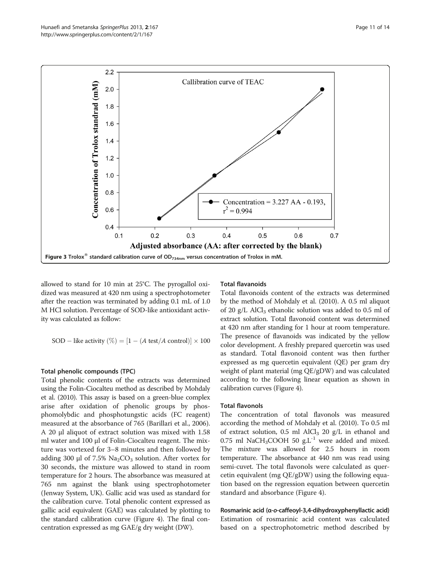<span id="page-10-0"></span>

allowed to stand for 10 min at 25°C. The pyrogallol oxidized was measured at 420 nm using a spectrophotometer after the reaction was terminated by adding 0.1 mL of 1.0 M HCl solution. Percentage of SOD-like antioxidant activity was calculated as follow:

SOD – like activity (
$$
\% = [1 - (A test/A control)] \times 100
$$

### Total phenolic compounds (TPC)

Total phenolic contents of the extracts was determined using the Folin-Ciocalteu method as described by Mohdaly et al. ([2010\)](#page-12-0). This assay is based on a green-blue complex arise after oxidation of phenolic groups by phosphomolybdic and phosphotungstic acids (FC reagent) measured at the absorbance of 765 (Barillari et al., [2006](#page-12-0)). A 20 μl aliquot of extract solution was mixed with 1.58 ml water and 100 μl of Folin-Ciocalteu reagent. The mixture was vortexed for 3–8 minutes and then followed by adding 300 μl of 7.5%  $\text{Na}_2\text{CO}_3$  solution. After vortex for 30 seconds, the mixture was allowed to stand in room temperature for 2 hours. The absorbance was measured at 765 nm against the blank using spectrophotometer (Jenway System, UK). Gallic acid was used as standard for the calibration curve. Total phenolic content expressed as gallic acid equivalent (GAE) was calculated by plotting to the standard calibration curve (Figure [4\)](#page-11-0). The final concentration expressed as mg GAE/g dry weight (DW).

### Total flavanoids

Total flavonoids content of the extracts was determined by the method of Mohdaly et al. ([2010](#page-12-0)). A 0.5 ml aliquot of 20 g/L AlCl<sub>3</sub> ethanolic solution was added to 0.5 ml of extract solution. Total flavonoid content was determined at 420 nm after standing for 1 hour at room temperature. The presence of flavanoids was indicated by the yellow color development. A freshly prepared quercetin was used as standard. Total flavonoid content was then further expressed as mg quercetin equivalent (QE) per gram dry weight of plant material (mg QE/gDW) and was calculated according to the following linear equation as shown in calibration curves (Figure [4\)](#page-11-0).

### Total flavonols

The concentration of total flavonols was measured according the method of Mohdaly et al. [\(2010](#page-12-0)). To 0.5 ml of extract solution, 0.5 ml AlCl<sub>3</sub> 20 g/L in ethanol and 0.75 ml NaCH<sub>3</sub>COOH 50 g.L<sup>-1</sup> were added and mixed. The mixture was allowed for 2.5 hours in room temperature. The absorbance at 440 nm was read using semi-cuvet. The total flavonols were calculated as quercetin equivalent (mg QE/gDW) using the following equation based on the regression equation between quercetin standard and absorbance (Figure [4](#page-11-0)).

Rosmarinic acid (α-o-caffeoyl-3,4-dihydroxyphenyllactic acid) Estimation of rosmarinic acid content was calculated based on a spectrophotometric method described by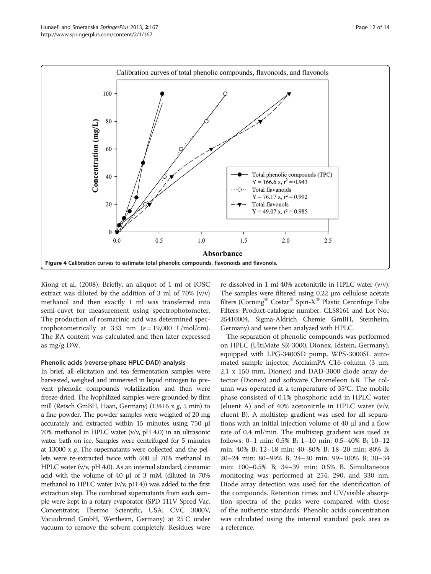<span id="page-11-0"></span>

Kiong et al. ([2008](#page-12-0)). Briefly, an aliquot of 1 ml of IOSC extract was diluted by the addition of 3 ml of 70% (v/v) methanol and then exactly 1 ml was transferred into semi-cuvet for measurement using spectrophotometer. The production of rosmarinic acid was determined spectrophotometrically at 333 nm ( $\varepsilon = 19,000$  L/mol/cm). The RA content was calculated and then later expressed as mg/g DW.

#### Phenolic acids (reverse-phase HPLC-DAD) analysis

In brief, all elicitation and tea fermentation samples were harvested, weighed and immersed in liquid nitrogen to prevent phenolic compounds volatilization and then were freeze-dried. The lyophilized samples were grounded by flint mill (Retsch GmBH, Haan, Germany) (13416 x  $g$ , 5 min) to a fine powder. The powder samples were weighed of 20 mg accurately and extracted within 15 minutes using 750 μl 70% methanol in HPLC water (v/v, pH 4.0) in an ultrasonic water bath on ice. Samples were centrifuged for 5 minutes at 13000 x g. The supernatants were collected and the pellets were re-extracted twice with 500 μl 70% methanol in HPLC water (v/v, pH 4.0). As an internal standard, cinnamic acid with the volume of 40 μl of 3 mM (diluted in 70% methanol in HPLC water (v/v, pH 4)) was added to the first extraction step. The combined supernatants from each sample were kept in a rotary evaporator (SPD 111V Speed Vac. Concentrator, Thermo Scientific, USA; CVC 3000V, Vacuubrand GmbH, Wertheim, Germany) at 25°C under vacuum to remove the solvent completely. Residues were re-dissolved in 1 ml 40% acetonitrile in HPLC water (v/v). The samples were filtered using 0.22 μm cellulose acetate filters (Corning<sup>®</sup> Costar<sup>®</sup> Spin-X<sup>®</sup> Plastic Centrifuge Tube Filters, Product-catalogue number: CLS8161 and Lot No.: 25410004, Sigma-Aldrich Chemie GmBH, Steinheim, Germany) and were then analyzed with HPLC.

The separation of phenolic compounds was performed on HPLC (UltiMate SR-3000, Dionex, Idstein, Germany), equipped with LPG-3400SD pump, WPS-3000SL automated sample injector, AcclaimPA C16-column (3 μm, 2.1 x 150 mm, Dionex) and DAD-3000 diode array detector (Dionex) and software Chromeleon 6.8. The column was operated at a temperature of 35°C. The mobile phase consisted of 0.1% phosphoric acid in HPLC water (eluent A) and of 40% acetonitrile in HPLC water  $(v/v,$ eluent B). A multistep gradient was used for all separations with an initial injection volume of 40 μl and a flow rate of 0.4 ml/min. The multistep gradient was used as follows: 0–1 min: 0.5% B; 1–10 min: 0.5–40% B; 10–12 min: 40% B; 12–18 min: 40–80% B; 18–20 min: 80% B; 20–24 min: 80–99% B; 24–30 min: 99–100% B; 30–34 min: 100–0.5% B; 34–39 min: 0.5% B. Simultaneous monitoring was performed at 254, 290, and 330 nm. Diode array detection was used for the identification of the compounds. Retention times and UV/visible absorption spectra of the peaks were compared with those of the authentic standards. Phenolic acids concentration was calculated using the internal standard peak area as a reference.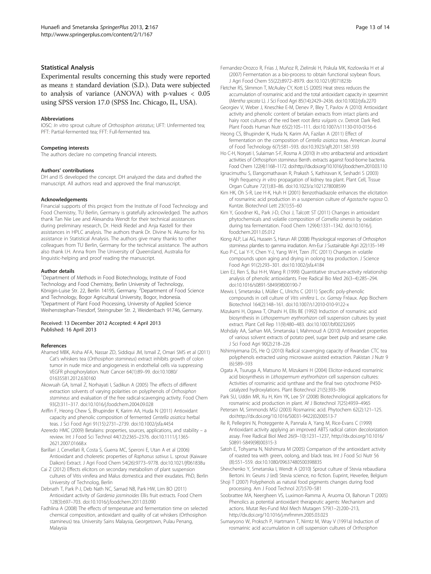#### <span id="page-12-0"></span>Statistical Analysis

Experimental results concerning this study were reported as means ± standard deviation (S.D.). Data were subjected to analysis of variance (ANOVA) with p-values < 0.05 using SPSS version 17.0 (SPSS Inc. Chicago, IL, USA).

#### Abbreviations

IOSC: In vitro sprout culture of Orthosiphon aristatus; UFT: Unfermented tea; PFT: Partial-fermented tea; FFT: Full-fermented tea.

#### Competing interests

The authors declare no competing financial interests.

#### Authors' contributions

DH and IS developed the concept. DH analyzed the data and drafted the manuscript. All authors read and approved the final manuscript.

#### Acknowledgements

Financial supports of this project from the Institute of Food Technology and Food Chemistry, TU Berlin, Germany is gratefully acknowledged. The authors thank Tan Nie Lee and Alexandra Wendt for their technical assistances during preliminary research, Dr. Heidi Riedel and Anja Kastell for their assistances in HPLC analysis. The authors thank Dr. Divine N. Akumo for his assistance in Statistical Analysis. The authors give many thanks to other colleagues from TU Berlin, Germany for the technical assistance. The authors also thank I.H. Anna from The University of Queensland, Australia for linguistic-helping and proof reading the manuscript.

#### Author details

<sup>1</sup>Department of Methods in Food Biotechnology, Institute of Food Technology and Food Chemistry, Berlin University of Technology, Königin-Luise Str. 22, Berlin 14195, Germany. <sup>2</sup>Department of Food Science and Technology, Bogor Agricultural University, Bogor, Indonesia. <sup>3</sup>Department of Plant Food Processing, University of Applied Science Weihenstephan-Triesdorf, Steingruber Str. 2, Weidenbach 91746, Germany.

#### Received: 13 December 2012 Accepted: 4 April 2013 Published: 16 April 2013

#### References

- Ahamed MBK, Aisha AFA, Nassar ZD, Siddiqui JM, Ismail Z, Omari SMS et al (2011) Cat's whiskers tea (Orthosiphon stamineus) extract inhibits growth of colon tumor in nude mice and angiogenesis in endothelial cells via suppressing VEGFR phosphorylation. Nutr Cancer 64(1):89–99. doi:[10.1080/](http://dx.doi.org/10.1080/01635581.2012.630160) [01635581.2012.630160](http://dx.doi.org/10.1080/01635581.2012.630160)
- Akowuah GA, Ismail Z, Norhayati I, Sadikun A (2005) The effects of different extraction solvents of varying polarities on polyphenols of Orthosiphon stamineus and evaluation of the free radical-scavenging activity. Food Chem 93(2):311–317. doi[:10.1016/j.foodchem.2004.09.028](http://dx.doi.org/10.1016/j.foodchem.2004.09.028)
- Ariffin F, Heong Chew S, Bhupinder K, Karim AA, Huda N (2011) Antioxidant capacity and phenolic composition of fermented Centella asiatica herbal teas. J Sci Food Agri 91(15):2731–2739. doi:[10.1002/jsfa.4454](http://dx.doi.org/10.1002/jsfa.4454)
- Azeredo HMC (2009) Betalains: properties, sources, applications, and stability a review. Int J Food Sci Technol 44(12):2365–2376. doi:[10.1111/j.1365-](http://dx.doi.org/10.1111/j.1365-2621.2007.01668.x) [2621.2007.01668.x](http://dx.doi.org/10.1111/j.1365-2621.2007.01668.x)
- Barillari J, Cervellati R, Costa S, Guerra MC, Speroni E, Utan A et al (2006) Antioxidant and choleretic properties of Raphanus sativus L. sprout (Kaiware Daikon) Extract. J Agri Food Chem 54(26):9773–9778. doi[:10.1021/jf061838u](http://dx.doi.org/10.1021/jf061838u)
- Cai Z (2012) Effects elicitors on secondary metabolism of plant suspension cultures of Vitis vinifera and Malus domestica and their exudates. PhD, Berlin University of Technolog, Berlin
- Debnath T, Park P-J, Deb Nath NC, Samad NB, Park HW, Lim BO (2011) Antioxidant activity of Gardenia jasminoides Ellis fruit extracts. Food Chem 128(3):697–703. doi:[10.1016/j.foodchem.2011.03.090](http://dx.doi.org/10.1016/j.foodchem.2011.03.090)
- Fadhlina A (2008) The effects of temperature and fermentation time on selected chemical composition, antioxidant and quality of cat whiskers (Orthosiphon stamineus) tea. University Sains Malaysia, Georgetown, Pulau Penang, Malaysia
- Fernandez-Orozco R, Frias J, Muñoz R, Zielinski H, Piskula MK, Kozlowska H et al (2007) Fermentation as a bio-process to obtain functional soybean flours. J Agri Food Chem 55(22):8972–8979. doi[:10.1021/jf071823b](http://dx.doi.org/10.1021/jf071823b)
- Fletcher RS, Slimmon T, McAuley CY, Kott LS (2005) Heat stress reduces the accumulation of rosmarinic acid and the total antioxidant capacity in spearmint (Mentha spicata L). J Sci Food Agri 85(14):2429–2436. doi[:10.1002/jsfa.2270](http://dx.doi.org/10.1002/jsfa.2270)
- Georgiev V, Weber J, Kneschke E-M, Denev P, Bley T, Pavlov A (2010) Antioxidant activity and phenolic content of betalain extracts from intact plants and hairy root cultures of the red beet root Beta vulgaris cv. Detroit Dark Red. Plant Foods Human Nutr 65(2):105–111. doi:[10.1007/s11130-010-0156-6](http://dx.doi.org/10.1007/s11130-010-0156-6)
- Heong CS, Bhupinder K, Huda N, Karim AA, Fazilan A (2011) Effect of fermentation on the composition of Centella asiatica teas. American Journal of Food Technology 6(7):581–593. doi[:10.3923/ajft.2011.581.593](http://dx.doi.org/10.3923/ajft.2011.581.593)
- Ho C-H, Noryati I, Sulaiman S-F, Rosma A (2010) In vitro antibacterial and antioxidant activities of Orthosiphon stamineus Benth. extracts against food-borne bacteria. Food Chem 122(4):1168–1172. doi[:http://dx.doi.org/10.1016/j.foodchem.2010.03.110](http://dx.doi.org/10.1016/j.foodchem.2010.03.110)
- Ignacimuthu S, Elangomathavan R, Prakash S, Kathiravan K, Seshadri S (2003) High frequency in vitro propagation of kidney tea plant. Plant Cell, Tissue Organ Culture 72(1):83–86. doi[:10.1023/a:1021278008599](http://dx.doi.org/10.1023/a:1021278008599)
- Kim HK, Oh S-R, Lee H-K, Huh H (2001) Benzothiadiazole enhances the elicitation of rosmarinic acid production in a suspension culture of Agastache rugosa O. Kuntze. Biotechnol Lett 23(1):55–60
- Kim Y, Goodner KL, Park J-D, Choi J, Talcott ST (2011) Changes in antioxidant phytochemicals and volatile composition of Camellia sinensis by oxidation during tea fermentation. Food Chem 129(4):1331–1342. doi:[10.1016/j.](http://dx.doi.org/10.1016/j.foodchem.2011.05.012) [foodchem.2011.05.012](http://dx.doi.org/10.1016/j.foodchem.2011.05.012)
- Kiong ALP, Lai AG, Hussein S, Harun AR (2008) Physiological responses of Orthosiphon stamineus plantles to gamma irradiation. Am-Eur J Sustainable Agri 2(2):135–149
- Kuo P-C, Lai Y-Y, Chen Y-J, Yang W-H, Tzen JTC (2011) Changes in volatile compounds upon aging and drying in oolong tea production. J Science Food Agri 91(2):293–301. doi[:10.1002/jsfa.4184](http://dx.doi.org/10.1002/jsfa.4184)
- Lien EJ, Ren S, Bui H-H, Wang R (1999) Quantitative structure-activity relationship analysis of phenolic antioxidants. Free Radical Bio Med 26(3–4):285–294. doi[:10.1016/s0891-5849\(98\)00190-7](http://dx.doi.org/10.1016/s0891-5849(98)00190-7)
- Mewis I, Smetanska I, Müller C, Ulrichs C (2011) Specific poly-phenolic compounds in cell culture of Vitis vinifera L. cv. Gamay Fréaux. App Biochem Biotechnol 164(2):148–161. doi[:10.1007/s12010-010-9122-x](http://dx.doi.org/10.1007/s12010-010-9122-x)
- Mizukami H, Ogawa T, Ohashi H, Ellis BE (1992) Induction of rosmarinic acid biosynthesis in Lithospermum erythrorhizon cell suspension cultures by yeast extract. Plant Cell Rep 11(9):480–483. doi:[10.1007/bf00232695](http://dx.doi.org/10.1007/bf00232695)
- Mohdaly AA, Sarhan MA, Smetanska I, Mahmoud A (2010) Antioxidant properties of various solvent extracts of potato peel, sugar beet pulp and sesame cake. J Sci Food Agri 90(2):218–226
- Nshimiyimana DS, He Q (2010) Radical scavenging capacity of Rwandan CTC tea polyphenols extracted using microwave assisted extraction. Pakistan J Nutr 9 (6):589–593
- Ogata A, Tsuruga A, Matsuno M, Mizukami H (2004) Elicitor-induced rosmarinic acid biosynthesis in Lithospermum erythrorhizon cell suspension cultures: Activities of rosmarinic acid synthase and the final two cytochrome P450 catalyzed hydroxylations. Plant Biotechnol 21(5):393–396
- Park SU, Uddin MR, Xu H, Kim YK, Lee SY (2008) Biotechnological applications for rosmarinic acid production in plant. Af J Biotechnol 7(25):4959–4965
- Petersen M, Simmonds MSJ (2003) Rosmarinic acid. Phytochem 62(2):121–125. doi[:http://dx.doi.org/10.1016/S0031-9422\(02\)00513-7](http://dx.doi.org/10.1016/S0031-9422(02)00513-7)
- Re R, Pellegrini N, Proteggente A, Pannala A, Yang M, Rice-Evans C (1999) Antioxidant activity applying an improved ABTS radical cation decolorization assay. Free Radical Biol Med 26(9–10):1231–1237, http://dx.doi.org/[10.1016/](http://dx.doi.org/10.1016/S0891-5849(98)00315-3) [S0891-5849\(98\)00315-3](http://dx.doi.org/10.1016/S0891-5849(98)00315-3)
- Satoh E, Tohyama N, Nishimura M (2005) Comparison of the antioxidant activity of roasted tea with green, oolong, and black teas. Int J Food Sci Nutr 56 (8):551–559. doi:[10.1080/09637480500398835](http://dx.doi.org/10.1080/09637480500398835)
- Shevchenko Y, Smetanska I, Wendt A (2010) Sprout culture of Stevia rebaudiana Bertoni. In: Geuns J (ed) Stevia science, no fiction. Euprint, Heverlee, Belgium
- Shoji T (2007) Polyphenols as natural food pigments changes during food processing. Am J Food Technol 2(7):570–581
- Soobrattee MA, Neergheen VS, Luximon-Ramma A, Aruoma OI, Bahorun T (2005) Phenolics as potential antioxidant therapeutic agents: Mechanism and actions. Mutat Res-Fund Mol Mech Mutagen 579(1–2):200–213, http://dx.doi.org/10.1016/j.mrfmmm.2005.03.023
- Sumaryono W, Proksch P, Hartmann T, Nimtz M, Wray V (1991a) Induction of rosmarinic acid accumulation in cell suspension cultures of Orthosiphon